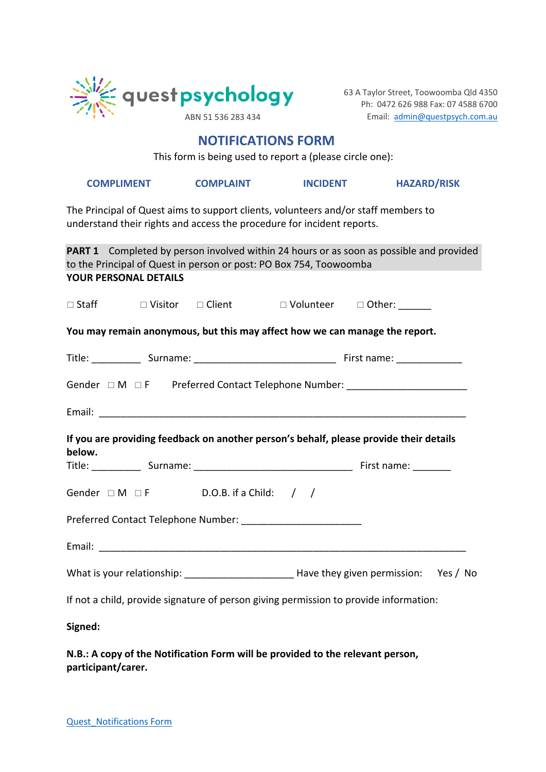

63 A Taylor Street, Toowoomba Qld 4350 Ph: 0472 626 988 Fax: 07 4588 6700 ABN 51 536 283 434 Email: admin@questpsych.com.au

# **NOTIFICATIONS FORM**

This form is being used to report a (please circle one):

| <b>COMPLIMENT</b> | <b>COMPLAIN</b> |
|-------------------|-----------------|
|                   |                 |

**COMPLIMENT COMPLAINT INCIDENT HAZARD/RISK**

The Principal of Quest aims to support clients, volunteers and/or staff members to understand their rights and access the procedure for incident reports.

|                       |  |                                               | to the Principal of Quest in person or post: PO Box 754, Toowoomba                     | <b>PART 1</b> Completed by person involved within 24 hours or as soon as possible and provided   |  |  |
|-----------------------|--|-----------------------------------------------|----------------------------------------------------------------------------------------|--------------------------------------------------------------------------------------------------|--|--|
| YOUR PERSONAL DETAILS |  |                                               |                                                                                        |                                                                                                  |  |  |
|                       |  |                                               |                                                                                        |                                                                                                  |  |  |
|                       |  |                                               |                                                                                        | You may remain anonymous, but this may affect how we can manage the report.                      |  |  |
|                       |  |                                               |                                                                                        |                                                                                                  |  |  |
|                       |  |                                               |                                                                                        | Gender $\Box M \Box F$ Preferred Contact Telephone Number: ___________________________           |  |  |
|                       |  |                                               |                                                                                        |                                                                                                  |  |  |
|                       |  |                                               | If you are providing feedback on another person's behalf, please provide their details |                                                                                                  |  |  |
|                       |  |                                               |                                                                                        |                                                                                                  |  |  |
| below.                |  |                                               |                                                                                        |                                                                                                  |  |  |
|                       |  | Gender $\Box M \Box F$ D.O.B. if a Child: / / |                                                                                        |                                                                                                  |  |  |
|                       |  |                                               |                                                                                        |                                                                                                  |  |  |
|                       |  |                                               |                                                                                        |                                                                                                  |  |  |
|                       |  |                                               |                                                                                        | What is your relationship: _________________________________Have they given permission: Yes / No |  |  |
|                       |  |                                               |                                                                                        | If not a child, provide signature of person giving permission to provide information:            |  |  |

**N.B.: A copy of the Notification Form will be provided to the relevant person, participant/carer.**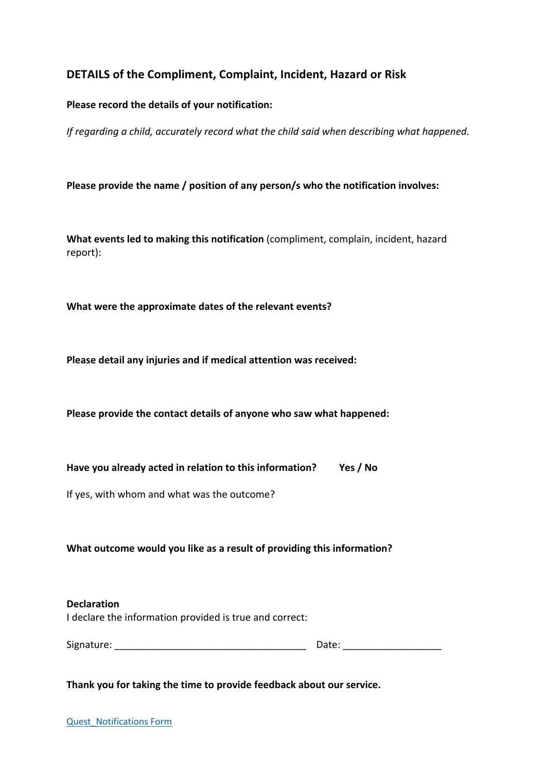# **DETAILS of the Compliment, Complaint, Incident, Hazard or Risk**

### **Please record the details of your notification:**

*If regarding a child, accurately record what the child said when describing what happened.*

**Please provide the name / position of any person/s who the notification involves:**

**What events led to making this notification** (compliment, complain, incident, hazard report):

**What were the approximate dates of the relevant events?**

**Please detail any injuries and if medical attention was received:**

**Please provide the contact details of anyone who saw what happened:**

**Have you already acted in relation to this information? Yes / No**

If yes, with whom and what was the outcome?

**What outcome would you like as a result of providing this information?**

**Declaration** I declare the information provided is true and correct:

Signature: \_\_\_\_\_\_\_\_\_\_\_\_\_\_\_\_\_\_\_\_\_\_\_\_\_\_\_\_\_\_\_\_\_\_\_ Date: \_\_\_\_\_\_\_\_\_\_\_\_\_\_\_\_\_\_

**Thank you for taking the time to provide feedback about our service.**